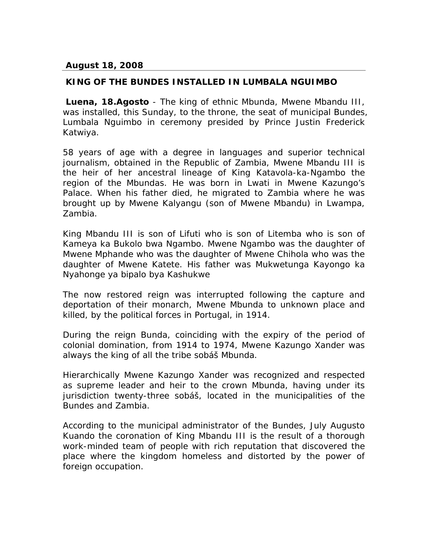## **August 18, 2008**

## **KING OF THE BUNDES INSTALLED IN LUMBALA NGUIMBO**

**Luena, 18.Agosto** - The king of ethnic Mbunda, Mwene Mbandu III, was installed, this Sunday, to the throne, the seat of municipal Bundes, Lumbala Nguimbo in ceremony presided by Prince Justin Frederick Katwiya.

58 years of age with a degree in languages and superior technical journalism, obtained in the Republic of Zambia, Mwene Mbandu III is the heir of her ancestral lineage of King Katavola-ka-Ngambo the region of the Mbundas. He was born in Lwati in Mwene Kazungo's Palace. When his father died, he migrated to Zambia where he was brought up by Mwene Kalyangu (son of Mwene Mbandu) in Lwampa, Zambia.

King Mbandu III is son of Lifuti who is son of Litemba who is son of Kameya ka Bukolo bwa Ngambo. Mwene Ngambo was the daughter of Mwene Mphande who was the daughter of Mwene Chihola who was the daughter of Mwene Katete. His father was Mukwetunga Kayongo ka Nyahonge ya bipalo bya Kashukwe

The now restored reign was interrupted following the capture and deportation of their monarch, Mwene Mbunda to unknown place and killed, by the political forces in Portugal, in 1914.

During the reign Bunda, coinciding with the expiry of the period of colonial domination, from 1914 to 1974, Mwene Kazungo Xander was always the king of all the tribe sobáš Mbunda.

Hierarchically Mwene Kazungo Xander was recognized and respected as supreme leader and heir to the crown Mbunda, having under its jurisdiction twenty-three sobáš, located in the municipalities of the Bundes and Zambia.

According to the municipal administrator of the Bundes, July Augusto Kuando the coronation of King Mbandu III is the result of a thorough work-minded team of people with rich reputation that discovered the place where the kingdom homeless and distorted by the power of foreign occupation.